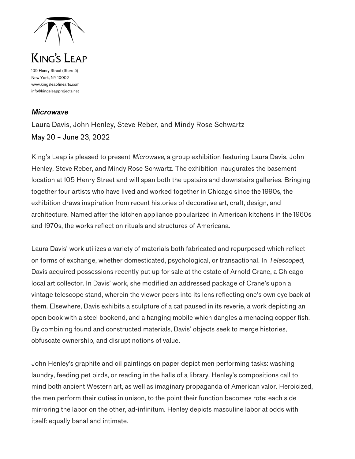

105 Henry Street (Store 5) New York, NY 10002 www.kingsleapfinearts.com info@kingsleapprojects.net

## *Microwave*

Laura Davis, John Henley, Steve Reber, and Mindy Rose Schwartz May 20 – June 23, 2022

King's Leap is pleased to present *Microwave*, a group exhibition featuring Laura Davis, John Henley, Steve Reber, and Mindy Rose Schwartz. The exhibition inaugurates the basement location at 105 Henry Street and will span both the upstairs and downstairs galleries. Bringing together four artists who have lived and worked together in Chicago since the 1990s, the exhibition draws inspiration from recent histories of decorative art, craft, design, and architecture. Named after the kitchen appliance popularized in American kitchens in the 1960s and 1970s, the works reflect on rituals and structures of Americana.

Laura Davis' work utilizes a variety of materials both fabricated and repurposed which reflect on forms of exchange, whether domesticated, psychological, or transactional. In *Telescoped*, Davis acquired possessions recently put up for sale at the estate of Arnold Crane, a Chicago local art collector. In Davis' work, she modified an addressed package of Crane's upon a vintage telescope stand, wherein the viewer peers into its lens reflecting one's own eye back at them. Elsewhere, Davis exhibits a sculpture of a cat paused in its reverie, a work depicting an open book with a steel bookend, and a hanging mobile which dangles a menacing copper fish. By combining found and constructed materials, Davis' objects seek to merge histories, obfuscate ownership, and disrupt notions of value.

John Henley's graphite and oil paintings on paper depict men performing tasks: washing laundry, feeding pet birds, or reading in the halls of a library. Henley's compositions call to mind both ancient Western art, as well as imaginary propaganda of American valor. Heroicized, the men perform their duties in unison, to the point their function becomes rote: each side mirroring the labor on the other, ad-infinitum. Henley depicts masculine labor at odds with itself: equally banal and intimate.